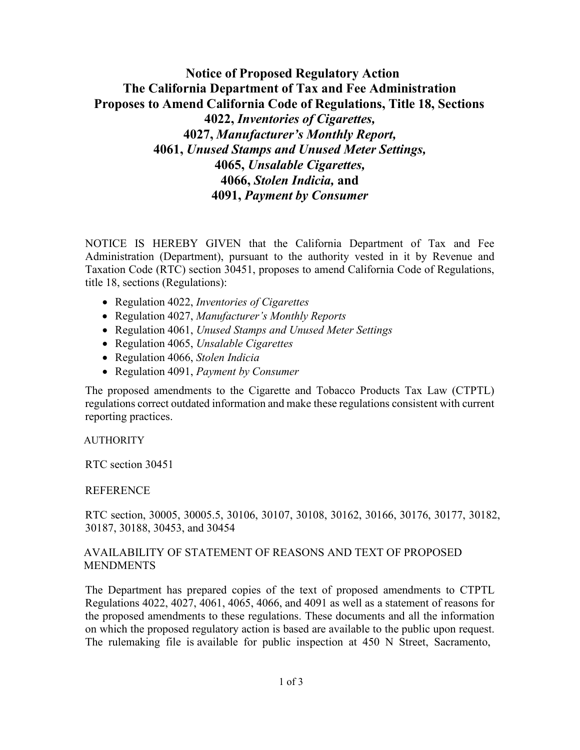# **Notice of Proposed Regulatory Action The California Department of Tax and Fee Administration Proposes to Amend California Code of Regulations, Title 18, Sections 4022,** *Inventories of Cigarettes,* **4027,** *Manufacturer's Monthly Report,* **4061,** *Unused Stamps and Unused Meter Settings,* **4065,** *Unsalable Cigarettes,* **4066,** *Stolen Indicia,* **and 4091,** *Payment by Consumer*

NOTICE IS HEREBY GIVEN that the California Department of Tax and Fee Administration (Department), pursuant to the authority vested in it by Revenue and Taxation Code (RTC) section 30451, proposes to amend California Code of Regulations, title 18, sections (Regulations):

- Regulation 4022, *Inventories of Cigarettes*
- Regulation 4027, *Manufacturer's Monthly Reports*
- Regulation 4061, *Unused Stamps and Unused Meter Settings*
- Regulation 4065, *Unsalable Cigarettes*
- Regulation 4066, *Stolen Indicia*
- Regulation 4091, *Payment by Consumer*

The proposed amendments to the Cigarette and Tobacco Products Tax Law (CTPTL) regulations correct outdated information and make these regulations consistent with current reporting practices.

#### AUTHORITY

RTC section 30451

#### **REFERENCE**

RTC section, 30005, 30005.5, 30106, 30107, 30108, 30162, 30166, 30176, 30177, 30182, 30187, 30188, 30453, and 30454

# AVAILABILITY OF STATEMENT OF REASONS AND TEXT OF PROPOSED **MENDMENTS**

The Department has prepared copies of the text of proposed amendments to CTPTL Regulations 4022, 4027, 4061, 4065, 4066, and 4091 as well as a statement of reasons for the proposed amendments to these regulations. These documents and all the information on which the proposed regulatory action is based are available to the public upon request. The rulemaking file is available for public inspection at 450 N Street, Sacramento,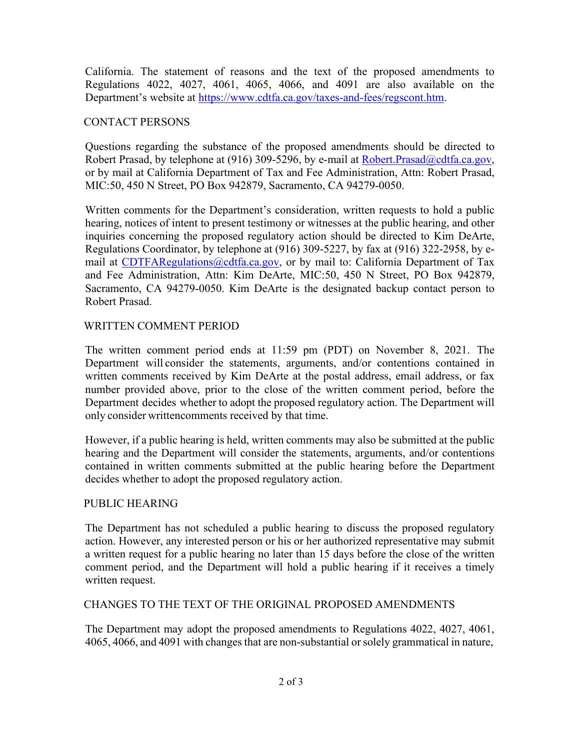California. The statement of reasons and the text of the proposed amendments to Regulations 4022, 4027, 4061, 4065, 4066, and 4091 are also available on the Department's website at [https://www.cdtfa.ca.gov/taxes-and-fees/regscont.htm.](https://www.cdtfa.ca.gov/taxes-and-fees/regscont.htm)

# CONTACT PERSONS

Questions regarding the substance of the proposed amendments should be directed to Robert Prasad, by telephone at (916) 309-5296, by e-mail at Robert. Prasad@cdtfa.ca.gov, or by mail at California Department of Tax and Fee Administration, Attn: Robert Prasad, MIC:50, 450 N Street, PO Box 942879, Sacramento, CA 94279-0050.

Written comments for the Department's consideration, written requests to hold a public hearing, notices of intent to present testimony or witnesses at the public hearing, and other inquiries concerning the proposed regulatory action should be directed to Kim DeArte, Regulations Coordinator, by telephone at (916) 309-5227, by fax at (916) 322-2958, by e-mail at [CDTFARegulations@cdtfa.ca.gov,](mailto:CDTFARegulations@cdtfa.ca.gov) or by mail to: California Department of Tax and Fee Administration, Attn: Kim DeArte, MIC:50, 450 N Street, PO Box 942879, Sacramento, CA 94279-0050. Kim DeArte is the designated backup contact person to Robert Prasad.

# WRITTEN COMMENT PERIOD

The written comment period ends at 11:59 pm (PDT) on November 8, 2021. The Department will consider the statements, arguments, and/or contentions contained in written comments received by Kim DeArte at the postal address, email address, or fax number provided above, prior to the close of the written comment period, before the Department decides whether to adopt the proposed regulatory action. The Department will only consider writtencomments received by that time.

However, if a public hearing is held, written comments may also be submitted at the public hearing and the Department will consider the statements, arguments, and/or contentions contained in written comments submitted at the public hearing before the Department decides whether to adopt the proposed regulatory action.

# PUBLIC HEARING

The Department has not scheduled a public hearing to discuss the proposed regulatory action. However, any interested person or his or her authorized representative may submit a written request for a public hearing no later than 15 days before the close of the written comment period, and the Department will hold a public hearing if it receives a timely written request.

# CHANGES TO THE TEXT OF THE ORIGINAL PROPOSED AMENDMENTS

The Department may adopt the proposed amendments to Regulations 4022, 4027, 4061, 4065, 4066, and 4091 with changesthat are non-substantial or solely grammatical in nature,